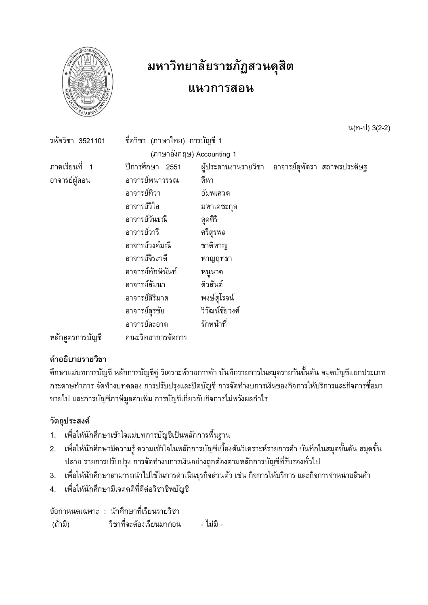

# มหาวิทยาลัยราชภัฏสวนดุสิต

# แนวการสอน

น(ท-ป) 3(2-2)

| รหัสวิชา 3521101 | ี ชื่อวิชา (ภาษาไทย) การบัญชี 1 |                                                 |  |
|------------------|---------------------------------|-------------------------------------------------|--|
|                  | (ภาษาอังกฤษ) Accounting 1       |                                                 |  |
| ิภาคเรียนที่ 1   | ปีการศึกษา 2551                 | ผู้ประสานงานรายวิชา อาจารย์สุพัตรา สถาพรประดิษฐ |  |
| อาจารย์ผู้สอน    | อาจารย์พนาวรรณ                  | สีหา                                            |  |
|                  | อาจารย์ทิวา                     | อัมพเศวต                                        |  |
|                  | อาจารย์วิไล                     | มหาเดชะกุล                                      |  |
|                  | อาจารย์วันธณี                   | สุดศิริ                                         |  |
|                  | อาจารย์วารี                     | ศรีสุรพล                                        |  |
|                  | อาจารย์วงค์มณี                  | ชาติหาญ                                         |  |
|                  | อาจารย์จิระวดี                  | หาญฤทธา                                         |  |
|                  | อาจารย์ทักษินันท์               | หนูนาค                                          |  |
|                  | อาจารย์สัมนา                    | ติวสันต์                                        |  |
|                  | อาจารย์สิริมาส                  | พงษ์สุโรจน์                                     |  |
|                  | อาจารย์สุรชัย                   | วิวัฒน์ชัยวงศ์                                  |  |
|                  | อาจารย์สะอาด                    | รักหน้าที่                                      |  |
| หลักสูตรการบัญชี | คณะวิทยาการจัดการ               |                                                 |  |

# คำอธิบายรายวิชา

้ศึกษาแม่บทการบัญชี หลักการบัญชีคู่ วิเคราะห์รายการค้า บันทึกรายการในสมุดรายวันขั้นต้น สมุดบัญชีแยกประเภท ้กระดาษทำการ จัดทำงบทดลอง การปรับปรุงและปิดบัญชี การจัดทำงบการเงินของกิจการให้บริการและกิจการซื้อมา ี ขายไป และการบัญชีภาษีมูลค่าเพิ่ม การบัญชีเกี่ยวกับกิจการไม่หวังผลกำไร

## วัตถุประสงค์

- ้ เพื่อให้นักศึกษาเข้าใจแม่บทการบัญชีเป็นหลักการพื้นฐาน  $1.$
- ้ เพื่อให้นักศึกษามีความรู้ ความเข้าใจในหลักการบัญชีเบื้องต้นวิเคราะห์รายการค้า บันทึกในสมุดขั้นต้น สมุดขั้น 2. ปลาย รายการปรับปรุง การจัดทำงบการเงินอย่างถูกต้องตามหลักการบัญชีที่รับรองทั่วไป
- 3. เพื่อให้นักศึกษาสามารถนำไปใช้ในการดำเนินธุรกิจส่วนตัว เช่น กิจการให้บริการ และกิจการจำหน่ายสินค้า
- เพื่อให้นักศึกษามีเจตคติที่ดีต่อวิชาชีพบัญชี  $4.$

ข้อกำหนดเฉพาะ : นักศึกษาที่เรียนรายวิชา วิชาที่จะต้องเรียนมาก่อน (ถ้ามี) - ไม่มี -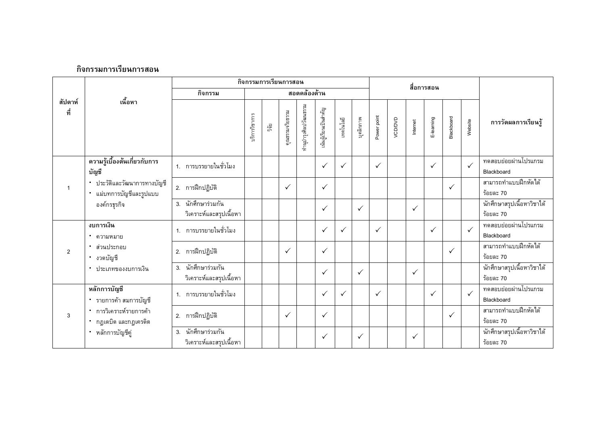|              |                                                          |                                               |               | กิจกรรมการเรียนการสอน |                       |                      |              |              | สื่อการสอน   |              |          |              |              |              |                     |                                         |
|--------------|----------------------------------------------------------|-----------------------------------------------|---------------|-----------------------|-----------------------|----------------------|--------------|--------------|--------------|--------------|----------|--------------|--------------|--------------|---------------------|-----------------------------------------|
| สัปดาห์      | เนื้อหา                                                  | กิจกรรม                                       | สอดคล้องด้าน  |                       |                       |                      |              |              |              |              |          |              |              |              |                     |                                         |
| ที่          |                                                          | ปริการวิชาการ                                 | ្មិទី<br>ភូមិ | คุณธรรมจริยธรรม       | ทำนุบำรุงศิลปวัฒนธรรม | นันผู้เรียนเป็นสำคัญ | เทคโนโลยี    | บุคลิกภาพ    | Power point  | VCD/DVD      | Internet | E-leaming    | Blackboard   | Website      | การวัดผลการเรียนรู้ |                                         |
|              | ความรู้เบื้องต้นเกี่ยวกับการ<br>บัญชี                    | 1. การบรรยายในชั่วโมง                         |               |                       |                       |                      | $\checkmark$ | ✓            |              | $\checkmark$ |          |              | ✓            |              | $\checkmark$        | ทดสอบย่อยผ่านโปรแกรม<br>Blackboard      |
| $\mathbf{1}$ | * ประวัติและวัฒนาการทางบัญชี<br>* แม่บทการบัญชีและรูปแบบ | 2. การฝึกปฏิบัติ                              |               |                       | $\checkmark$          |                      | $\checkmark$ |              |              |              |          |              |              | $\checkmark$ |                     | สามารถทำแบบฝึกหัดได้<br>ร้อยละ 70       |
|              | องค์กรฐรกิจ                                              | 3. นักศึกษาร่วมกัน<br>วิเคราะห์และสรุปเนื้อหา |               |                       |                       |                      | $\checkmark$ |              | $\checkmark$ |              |          | $\checkmark$ |              |              |                     | นักศึกษาสรุปเนื้อหาวิชาได้<br>ร้อยละ 70 |
|              | งบการเงิน<br>• ความหมาย                                  | 1. การบรรยายในชั่วโมง                         |               |                       |                       |                      | $\checkmark$ | $\checkmark$ |              | $\checkmark$ |          |              | $\checkmark$ |              | $\checkmark$        | ทดสอบย่อยผ่านโปรแกรม<br>Blackboard      |
| 2            | • ส่วนประกอบ<br>• งวดบัญชี                               | 2. การฝึกปฏิบัติ                              |               |                       | $\checkmark$          |                      | $\checkmark$ |              |              |              |          |              |              | $\checkmark$ |                     | สามารถทำแบบฝึกหัดได้<br>ร้อยละ 70       |
|              | • ประเภทของงบการเงิน                                     | 3. นักศึกษาร่วมกัน<br>วิเคราะห์และสรุปเนื้อหา |               |                       |                       |                      | $\checkmark$ |              | $\checkmark$ |              |          | $\checkmark$ |              |              |                     | นักศึกษาสรุปเนื้อหาวิชาได้<br>ร้อยละ 70 |
|              | หลักการบัญชี<br>* รายการค้า สมการบัญชี                   | 1. การบรรยายในชั่วโมง                         |               |                       |                       |                      | $\checkmark$ | $\checkmark$ |              | $\checkmark$ |          |              | $\checkmark$ |              | $\checkmark$        | ทดสอบย่อยผ่านโปรแกรม<br>Blackboard      |
| 3            | * การวิเคราะห์รายการค้า<br>่ - กฎเดบิต และกฎเครดิต       | 2. การฝึกปฏิบัติ                              |               |                       | $\checkmark$          |                      | $\checkmark$ |              |              |              |          |              |              | $\checkmark$ |                     | สามารถทำแบบฝึกหัดได้<br>ร้อยละ 70       |
|              | • หลักการบัญชีคู่                                        | 3. นักศึกษาร่วมกัน<br>วิเคราะห์และสรุปเนื้อหา |               |                       |                       |                      | $\checkmark$ |              | $\checkmark$ |              |          | $\checkmark$ |              |              |                     | นักศึกษาสรุปเนื้อหาวิชาได้<br>ร้อยละ 70 |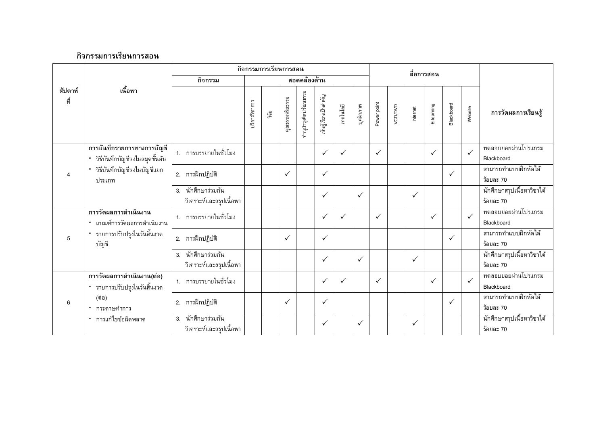|                           |                                                              |                                               | กิจกรรมการเรียนการสอน<br>สื่อการสอน |                 |                       |                      |              |              |              |              |          |              |              |              |                     |                                         |
|---------------------------|--------------------------------------------------------------|-----------------------------------------------|-------------------------------------|-----------------|-----------------------|----------------------|--------------|--------------|--------------|--------------|----------|--------------|--------------|--------------|---------------------|-----------------------------------------|
|                           |                                                              | กิจกรรม                                       |                                     |                 |                       | สอดคล้องด้าน         |              |              |              |              |          |              |              |              |                     |                                         |
| เนื้อหา<br>สัปดาห์<br>ที่ |                                                              | บริการวิชาการ                                 | ្និត្តិ                             | คุณธรรมจริยธรรม | กำนุบำรุงศิลปวัฒนธรรม | นันผู้เรียนเป็นสำคัญ | เทคโนโลยี    | บุคลิกภาพ    | Power point  | VCD/DVD      | Internet | E-leaming    | Blackboard   | Website      | การวัดผลการเรียนรู้ |                                         |
|                           | การบันทึกรายการทางการบัญชี<br>วิธีบันทึกบัญชีลงในสมุดขั้นต้น | 1. การบรรยายในชั่วโมง                         |                                     |                 |                       |                      | $\checkmark$ | $\checkmark$ |              | $\checkmark$ |          |              | $\checkmark$ |              | $\checkmark$        | ทดสอบย่อยผ่านโปรแกรม<br>Blackboard      |
| $\overline{4}$            | วิธีบันทึกบัญชีลงในบัญชีแยก<br>ประเภท                        | 2. การฝึกปฏิบัติ                              |                                     |                 | $\checkmark$          |                      | ✓            |              |              |              |          |              |              | $\checkmark$ |                     | สามารถทำแบบฝึกหัดได้<br>ร้อยละ 70       |
|                           |                                                              | 3. นักศึกษาร่วมกัน<br>วิเคราะห์และสรุปเนื้อหา |                                     |                 |                       |                      | ✓            |              | $\checkmark$ |              |          | $\checkmark$ |              |              |                     | นักศึกษาสรุปเนื้อหาวิชาได้<br>ร้อยละ 70 |
|                           | การวัดผลการดำเนินงาน<br>* เกณฑ์การวัดผลการดำเนินงาน          | 1. การบรรยายในชั่วโมง                         |                                     |                 |                       |                      | $\checkmark$ | $\checkmark$ |              | $\checkmark$ |          |              | $\checkmark$ |              | $\checkmark$        | ทดสอบย่อยผ่านโปรแกรม<br>Blackboard      |
| 5                         | * รายการปรับปรุงในวันสิ้นงวด<br>บัญชี                        | 2. การฝึกปฏิบัติ                              |                                     |                 | $\checkmark$          |                      | $\checkmark$ |              |              |              |          |              |              | $\checkmark$ |                     | สามารถทำแบบฝึกหัดได้<br>ร้อยละ 70       |
|                           |                                                              | 3. นักศึกษาร่วมกัน<br>วิเคราะห์และสรุปเนื้อหา |                                     |                 |                       |                      | $\checkmark$ |              | $\checkmark$ |              |          | $\checkmark$ |              |              |                     | นักศึกษาสรุปเนื้อหาวิชาได้<br>ร้อยละ 70 |
|                           | การวัดผลการดำเนินงาน(ต่อ)<br>* รายการปรับปรุงในวันสิ้นงวด    | 1. การบรรยายในชั่วโมง                         |                                     |                 |                       |                      | $\checkmark$ | $\checkmark$ |              | $\checkmark$ |          |              | $\checkmark$ |              | $\checkmark$        | ทดสอบย่อยผ่านโปรแกรม<br>Blackboard      |
| 6                         | (ต่อ)<br>* กระดาษทำการ                                       | 2. การฝึกปฏิบัติ                              |                                     |                 | $\checkmark$          |                      | ✓            |              |              |              |          |              |              | $\checkmark$ |                     | สามารถทำแบบฝึกหัดได้<br>ร้อยละ 70       |
|                           | * การแก้ไขข้อผิดพลาด                                         | 3. นักศึกษาร่วมกัน<br>วิเคราะห์และสรุปเนื้อหา |                                     |                 |                       |                      | ✓            |              | $\checkmark$ |              |          | $\checkmark$ |              |              |                     | นักศึกษาสรุปเนื้อหาวิชาได้<br>ร้อยละ 70 |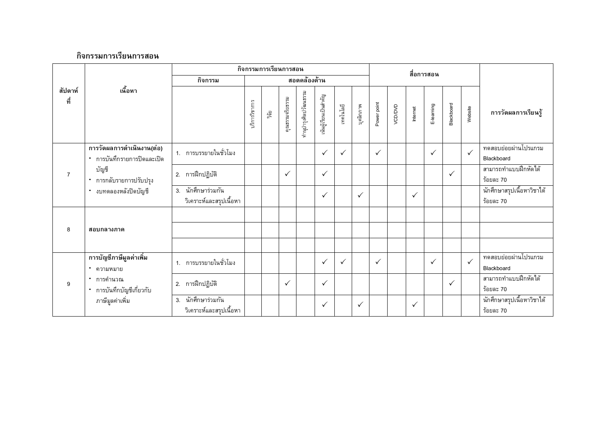|                |                                                            |                                               |               |       | กิจกรรมการเรียนการสอน |                       |                      |              |              | สื่อการสอน   |         |              |              |              |              |                                         |
|----------------|------------------------------------------------------------|-----------------------------------------------|---------------|-------|-----------------------|-----------------------|----------------------|--------------|--------------|--------------|---------|--------------|--------------|--------------|--------------|-----------------------------------------|
|                |                                                            | กิจกรรม                                       | สอดคล้องด้าน  |       |                       |                       |                      |              |              |              |         |              |              |              |              |                                         |
| สัปดาห์<br>ที่ | เนื้อหา                                                    |                                               | บริการวิชาการ | រត្តិ | คุณธรรมจริยธรรม       | ทำนุบำรุงศิลปวัฒนธรรม | นันผู้เรียนเป็นลำคัญ | เทคโนโลยี    | บุคลิกภาพ    | Power point  | VCD/DVD | Internet     | E-learning   | Blackboard   | Website      | การวัดผลการเรียนรู้                     |
|                | ี การวัดผลการดำเนินงาน(ต่อ)<br>* การบันทึกรายการปิดและเปิด | 1. การบรรยายในชั่วโมง                         |               |       |                       |                       | $\checkmark$         | $\checkmark$ |              | $\checkmark$ |         |              | ✓            |              | $\checkmark$ | ทดสอบย่อยผ่านโปรแกรม<br>Blackboard      |
| $\overline{7}$ | บัญชี<br>* การกลับรายการปรับปรุง                           | 2. การฝึกปฏิบัติ                              |               |       | $\checkmark$          |                       | $\checkmark$         |              |              |              |         |              |              | ✓            |              | สามารถทำแบบฝึกหัดได้<br>ร้อยละ 70       |
|                | " งบทดลองหลังปิดบัญชี                                      | 3. นักศึกษาร่วมกัน<br>วิเคราะห์และสรุปเนื้อหา |               |       |                       |                       | $\checkmark$         |              | $\checkmark$ |              |         | $\checkmark$ |              |              |              | นักศึกษาสรุปเนื้อหาวิชาได้<br>ร้อยละ 70 |
|                |                                                            |                                               |               |       |                       |                       |                      |              |              |              |         |              |              |              |              |                                         |
| 8              | สอบกลางภาค                                                 |                                               |               |       |                       |                       |                      |              |              |              |         |              |              |              |              |                                         |
|                |                                                            |                                               |               |       |                       |                       |                      |              |              |              |         |              |              |              |              |                                         |
|                | การบัญชีภาษีมูลค่าเพิ่ม<br>• ความหมาย                      | 1. การบรรยายในชั่วโมง                         |               |       |                       |                       | $\checkmark$         | $\checkmark$ |              | $\checkmark$ |         |              | $\checkmark$ |              | $\checkmark$ | ทดสอบย่อยผ่านโปรแกรม<br>Blackboard      |
| 9              | * การคำนวณ<br>* การบันทึกบัญชีเกี่ยวกับ                    | 2. การฝึกปฏิบัติ                              |               |       | $\checkmark$          |                       | $\checkmark$         |              |              |              |         |              |              | $\checkmark$ |              | สามารถทำแบบฝึกหัดได้<br>ร้อยละ 70       |
|                | ภาษีมูลค่าเพิ่ม                                            | 3. นักศึกษาร่วมกัน<br>วิเคราะห์และสรุปเนื้อหา |               |       |                       |                       | $\checkmark$         |              | $\checkmark$ |              |         | $\checkmark$ |              |              |              | นักศึกษาสรุปเนื้อหาวิชาได้<br>ร้อยละ 70 |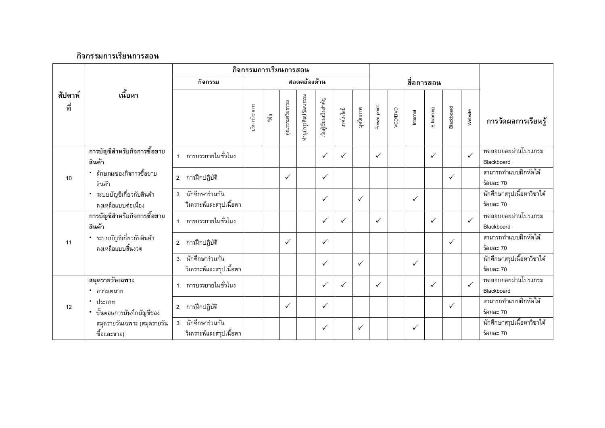|                           |                                                 | กิจกรรมการเรียนการสอน                         |             |                 |                       |                      |              |              |              |              |          |              |              |              |                     |                                         |
|---------------------------|-------------------------------------------------|-----------------------------------------------|-------------|-----------------|-----------------------|----------------------|--------------|--------------|--------------|--------------|----------|--------------|--------------|--------------|---------------------|-----------------------------------------|
|                           |                                                 | กิจกรรม                                       |             |                 |                       | สอดคล้องด้าน         |              |              |              |              |          |              | สื่อการสอน   |              |                     |                                         |
| เนื้อหา<br>สัปดาห์<br>ที่ |                                                 | บริการวิชาการ                                 | ្ធិ<br>ភូមិ | คุณธรรมจริยธรรม | กำนุบำรุงศิลปวัฒนธรรม | นันผู้เรียนเป็นสำคัญ | เทคโนโลยี    | บุคลิกภาพ    | Power point  | VCD/DVD      | Internet | E-learning   | Blackboard   | Website      | การวัดผลการเรียนรู้ |                                         |
|                           | การบัญชีสำหรับกิจการซื้อขาย<br>สินค้า           | 1. การบรรยายในชั่วโมง                         |             |                 |                       |                      | $\checkmark$ | $\checkmark$ |              | $\checkmark$ |          |              | $\checkmark$ |              | $\checkmark$        | ทดสอบย่อยผ่านโปรแกรม<br>Blackboard      |
| 10                        | " ลักษณะของกิจการซื้อขาย<br>สินค้า              | 2. การฝึกปฏิบัติ                              |             |                 | $\checkmark$          |                      | ✓            |              |              |              |          |              |              | $\checkmark$ |                     | สามารถทำแบบฝึกหัดได้<br>ร้อยละ 70       |
|                           | ระบบบัญชีเกี่ยวกับสินค้า<br>คงเหลือแบบต่อเนื่อง | 3. นักศึกษาร่วมกัน<br>วิเคราะห์และสรุปเนื้อหา |             |                 |                       |                      | ✓            |              | $\checkmark$ |              |          | $\checkmark$ |              |              |                     | นักศึกษาสรุปเนื้อหาวิชาได้<br>ร้อยละ 70 |
|                           | การบัญชีสำหรับกิจการซื้อขาย<br>สินค้า           | 1. การบรรยายในชั่วโมง                         |             |                 |                       |                      | ✓            | $\checkmark$ |              | ✓            |          |              | $\checkmark$ |              | $\checkmark$        | ทดสอบย่อยผ่านโปรแกรม<br>Blackboard      |
| 11                        | * ระบบบัญชีเกี่ยวกับสินค้า<br>คงเหลือแบบสิ้นงวด | 2. การฝึกปฏิบัติ                              |             |                 | $\checkmark$          |                      | ✓            |              |              |              |          |              |              | $\checkmark$ |                     | สามารถทำแบบฝึกหัดได้<br>ร้อยละ 70       |
|                           |                                                 | 3. นักศึกษาร่วมกัน<br>วิเคราะห์และสรุปเนื้อหา |             |                 |                       |                      | ✓            |              | $\checkmark$ |              |          | $\checkmark$ |              |              |                     | นักศึกษาสรุปเนื้อหาวิชาได้<br>ร้อยละ 70 |
|                           | สมุดรายวันเฉพาะ<br>* ความหมาย                   | 1. การบรรยายในชั่วโมง                         |             |                 |                       |                      | $\checkmark$ | $\checkmark$ |              | $\checkmark$ |          |              | $\checkmark$ |              | $\checkmark$        | ทดสอบย่อยผ่านโปรแกรม<br>Blackboard      |
| 12                        | • ประเภท<br>ขั้นตอนการบันทึกบัญชีของ            | 2. การฝึกปฏิบัติ                              |             |                 | $\checkmark$          |                      | ✓            |              |              |              |          |              |              | $\checkmark$ |                     | สามารถทำแบบฝึกหัดได้<br>ร้อยละ 70       |
|                           | สมุดรายวันเฉพาะ (สมุดรายวัน<br>ซื้อและขาย)      | 3. นักศึกษาร่วมกัน<br>วิเคราะห์และสรุปเนื้อหา |             |                 |                       |                      | ✓            |              | $\checkmark$ |              |          | $\checkmark$ |              |              |                     | นักศึกษาสรุปเนื้อหาวิชาได้<br>ร้อยละ 70 |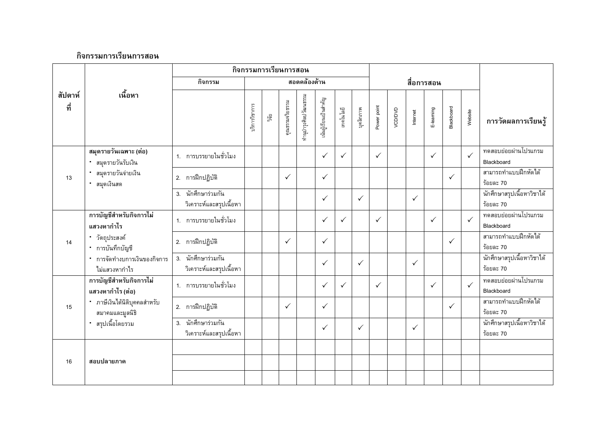|                           |                                                 | กิจกรรมการเรียนการสอน                         |                |                 |                       |                       |              |              |              |              |          |              |              |              |                     |                                         |
|---------------------------|-------------------------------------------------|-----------------------------------------------|----------------|-----------------|-----------------------|-----------------------|--------------|--------------|--------------|--------------|----------|--------------|--------------|--------------|---------------------|-----------------------------------------|
|                           |                                                 | กิจกรรม                                       |                |                 |                       | สอดคล้องด้าน          |              |              |              |              |          |              | สื่อการสอน   |              |                     |                                         |
| เนื้อหา<br>สัปดาห์<br>ที่ |                                                 | บริการวิชาการ                                 | ្ត្រូវ<br>ភូមិ | คุณธรรมจริยธรรม | กำนุบำรุงศิลปวัฒนธรรม | .นันผู้เรียนเป็นสำคัญ | เทคโนโลยี    | บุคลิกภาพ    | Power point  | VCD/DVD      | Internet | E-learning   | Blackboard   | Website      | การวัดผลการเรียนรู้ |                                         |
|                           | สมุดรายวันเฉพาะ (ต่อ)<br>สมุดรายวันรับเงิน      | 1. การบรรยายในชั่วโมง                         |                |                 |                       |                       | $\checkmark$ | $\checkmark$ |              | $\checkmark$ |          |              | $\checkmark$ |              | $\checkmark$        | ทดสอบย่อยผ่านโปรแกรม<br>Blackboard      |
| 13                        | สมุดรายวันจ่ายเงิน<br>สมุดเงินสด                | 2. การฝึกปฏิบัติ                              |                |                 | $\checkmark$          |                       | $\checkmark$ |              |              |              |          |              |              | ✓            |                     | สามารถทำแบบฝึกหัดได้<br>ร้อยละ 70       |
|                           |                                                 | 3. นักศึกษาร่วมกัน<br>วิเคราะห์และสรุปเนื้อหา |                |                 |                       |                       | $\checkmark$ |              | $\checkmark$ |              |          | $\checkmark$ |              |              |                     | นักศึกษาสรุปเนื้อหาวิชาได้<br>ร้อยละ 70 |
|                           | การบัญชีสำหรับกิจการไม่<br>แสวงหากำไร           | 1. การบรรยายในชั่วโมง                         |                |                 |                       |                       | $\checkmark$ | $\checkmark$ |              | $\checkmark$ |          |              | $\checkmark$ |              | $\checkmark$        | ทดสอบย่อยผ่านโปรแกรม<br>Blackboard      |
| 14                        | • วัตถุประสงค์<br>• การบันทึกบัญชี              | 2. การฝึกปฏิบัติ                              |                |                 | $\checkmark$          |                       | $\checkmark$ |              |              |              |          |              |              | $\checkmark$ |                     | สามารถทำแบบฝึกหัดได้<br>ร้อยละ 70       |
|                           | * การจัดทำงบการเงินของกิจการ<br>ไม่แสวงหากำไร   | 3. นักศึกษาร่วมกัน<br>วิเคราะห์และสรุปเนื้อหา |                |                 |                       |                       | $\checkmark$ |              | $\checkmark$ |              |          | $\checkmark$ |              |              |                     | นักศึกษาสรุปเนื้อหาวิชาได้<br>ร้อยละ 70 |
|                           | การบัญชีสำหรับกิจการไม่<br>แสวงหากำไร (ต่อ)     | 1. การบรรยายในชั่วโมง                         |                |                 |                       |                       | $\checkmark$ | $\checkmark$ |              | $\checkmark$ |          |              | $\checkmark$ |              | $\checkmark$        | ทดสอบย่อยผ่านโปรแกรม<br>Blackboard      |
| 15                        | * ภาษีเงินได้นิติบุคคลสำหรับ<br>สมาคมและมูลนิธิ | 2. การฝึกปฏิบัติ                              |                |                 | $\checkmark$          |                       | $\checkmark$ |              |              |              |          |              |              | ✓            |                     | สามารถทำแบบฝึกหัดได้<br>ร้อยละ 70       |
|                           | • สรุปเนื้อโดยรวม                               | 3. นักศึกษาร่วมกัน<br>วิเคราะห์และสรุปเนื้อหา |                |                 |                       |                       | $\checkmark$ |              | $\checkmark$ |              |          | $\checkmark$ |              |              |                     | นักศึกษาสรุปเนื้อหาวิชาได้<br>ร้อยละ 70 |
| 16                        | สอบปลายภาค                                      |                                               |                |                 |                       |                       |              |              |              |              |          |              |              |              |                     |                                         |
|                           |                                                 |                                               |                |                 |                       |                       |              |              |              |              |          |              |              |              |                     |                                         |